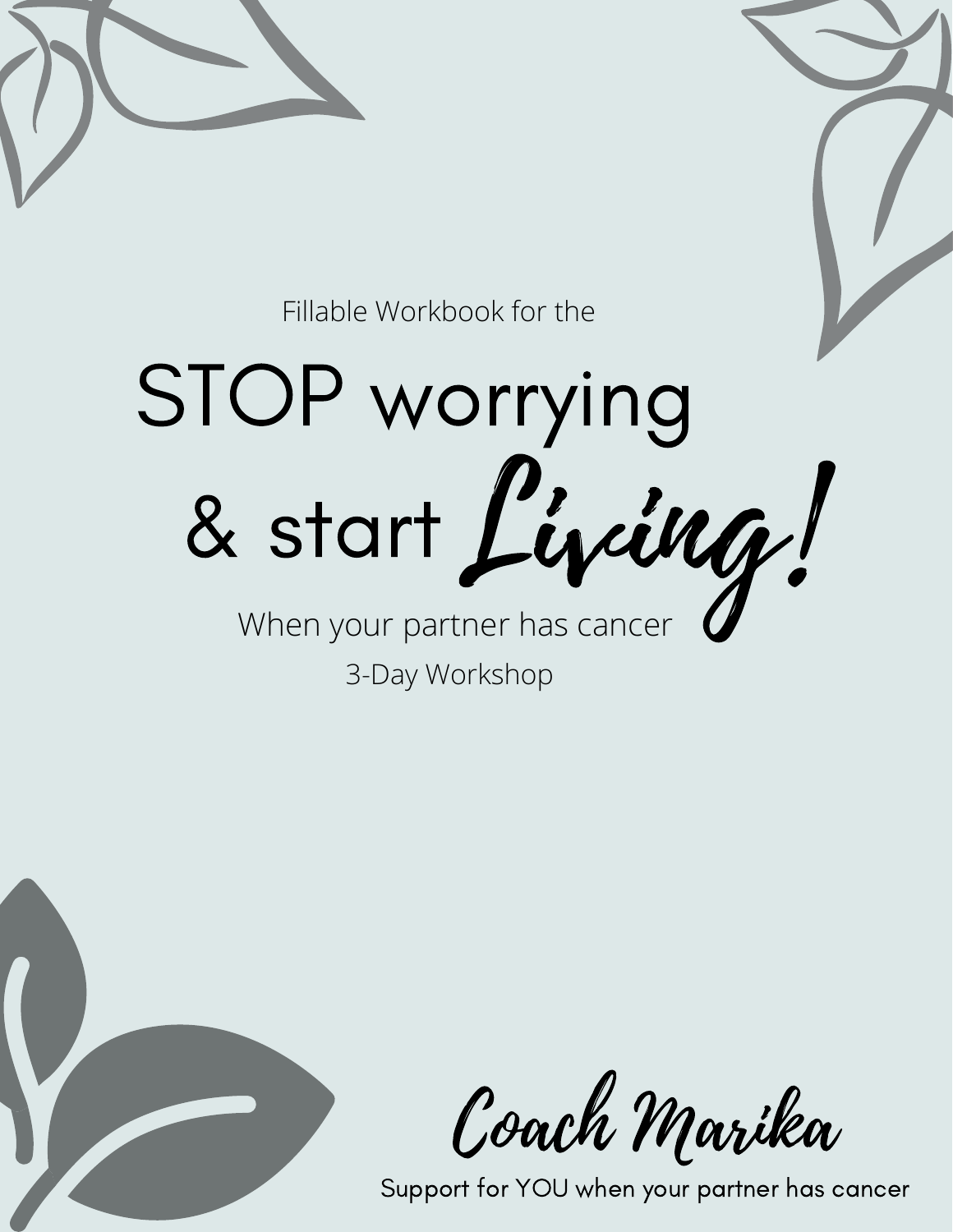

Fillable Workbook for the

STOP worrying & start Living!

When your partner has cancer 3-Day Workshop



Coach Marika

Support for YOU when your partner has cancer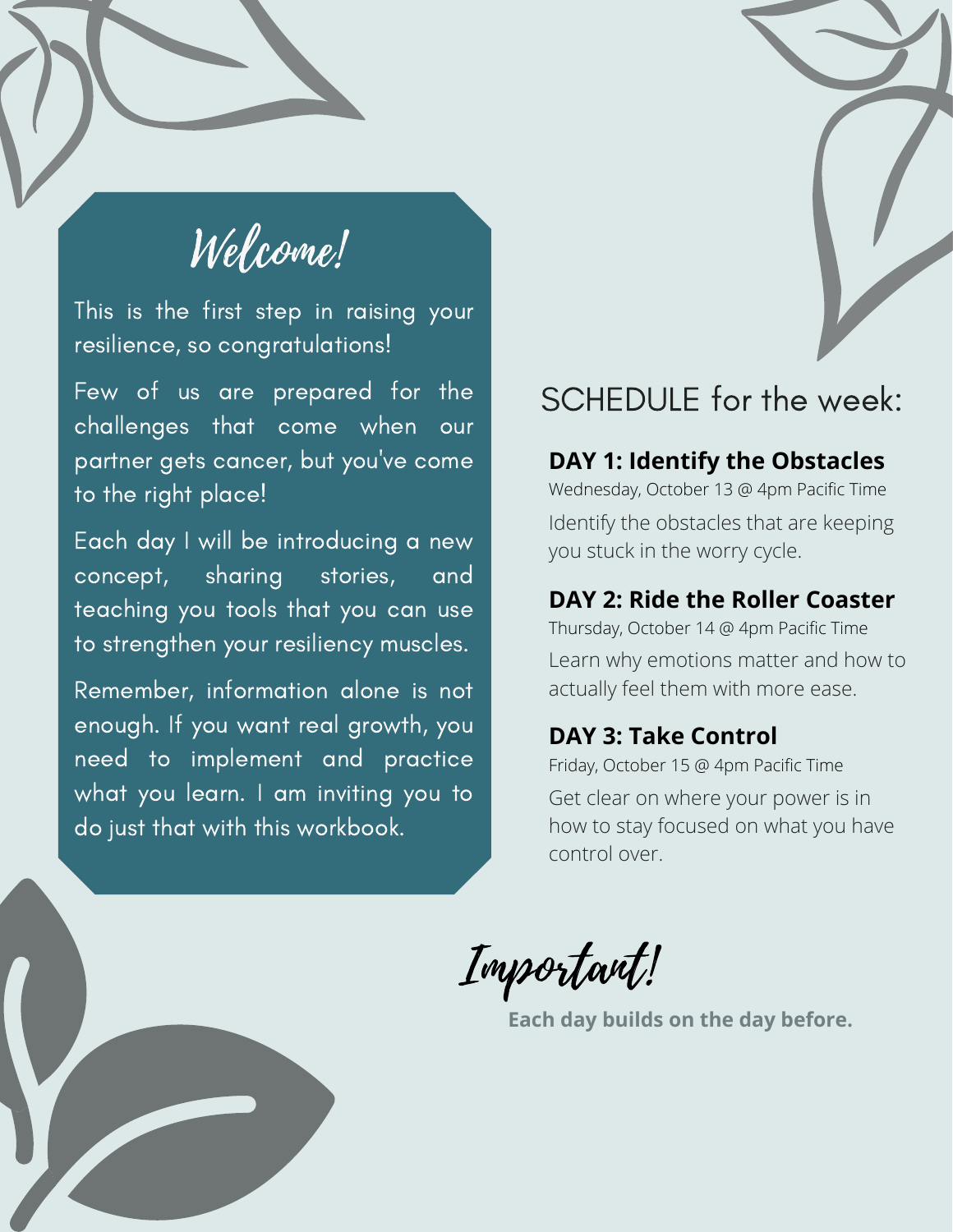# Welcome!

This is the first step in raising your resilience, so congratulations!

Few of us are prepared for the challenges that come when our partner gets cancer, but you've come to the right place!

Each day I will be introducing a new concept, sharing stories, and teaching you tools that you can use to strengthen your resiliency muscles.

Remember, information alone is not enough. If you want real growth, you need to implement and practice what you learn. I am inviting you to do just that with this workbook.

#### SCHEDULE for the week:

#### **DAY 1: Identify the Obstacles**

Wednesday, October 13 @ 4pm Pacific Time Identify the obstacles that are keeping you stuck in the worry cycle.

#### **DAY 2: Ride the Roller Coaster**

Thursday, October 14 @ 4pm Pacific Time Learn why emotions matter and how to actually feel them with more ease.

#### **DAY 3: Take Control**

Friday, October 15 @ 4pm Pacific Time Get clear on where your power is in how to stay focused on what you have control over.

Important!

**Each day builds on the day before.**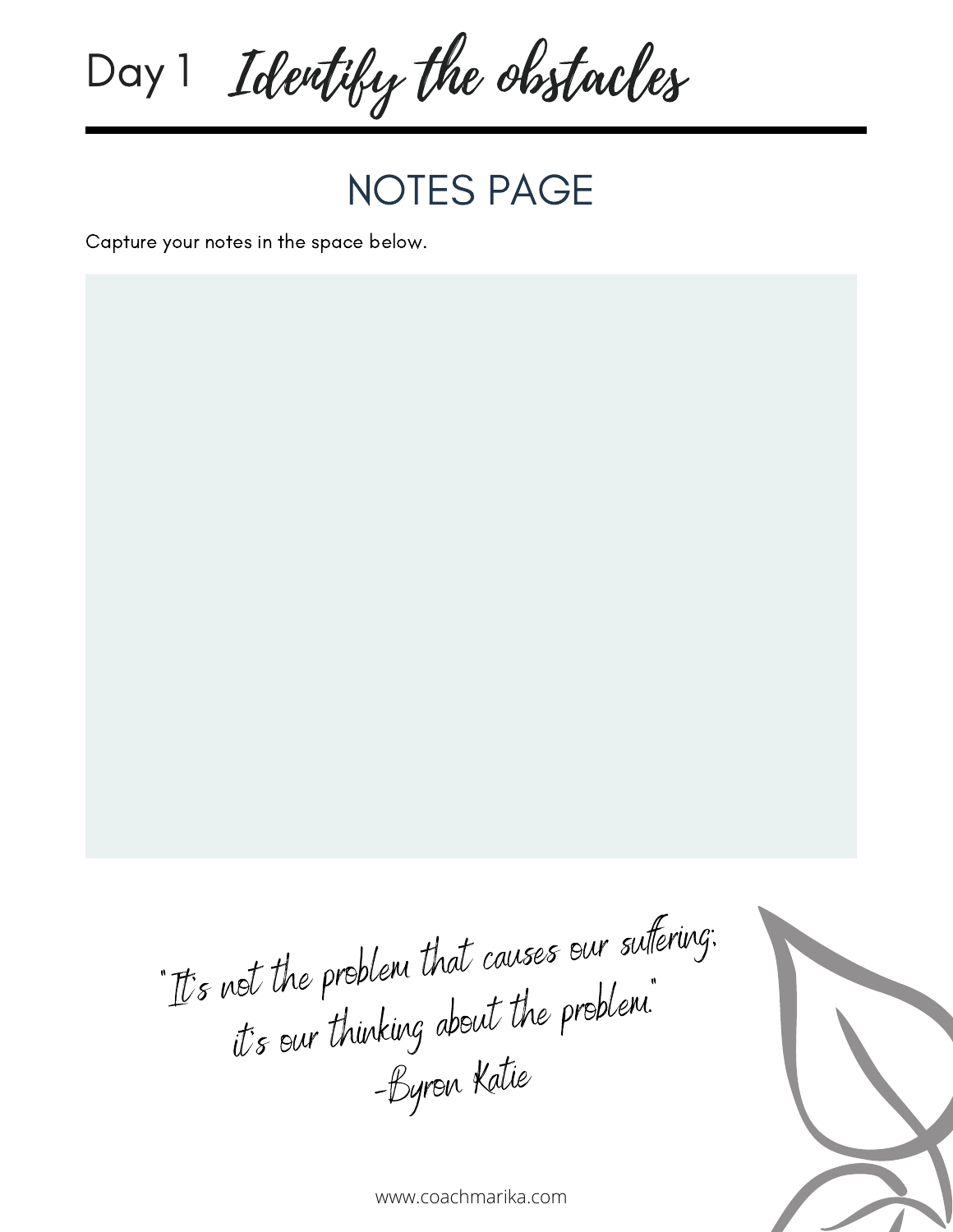

NOTES PAGE

Capture your notes in the space below.

"It's not the problem that causes our sufering; ior we propoon<br>it's our thinking about the problem." -Byron Katie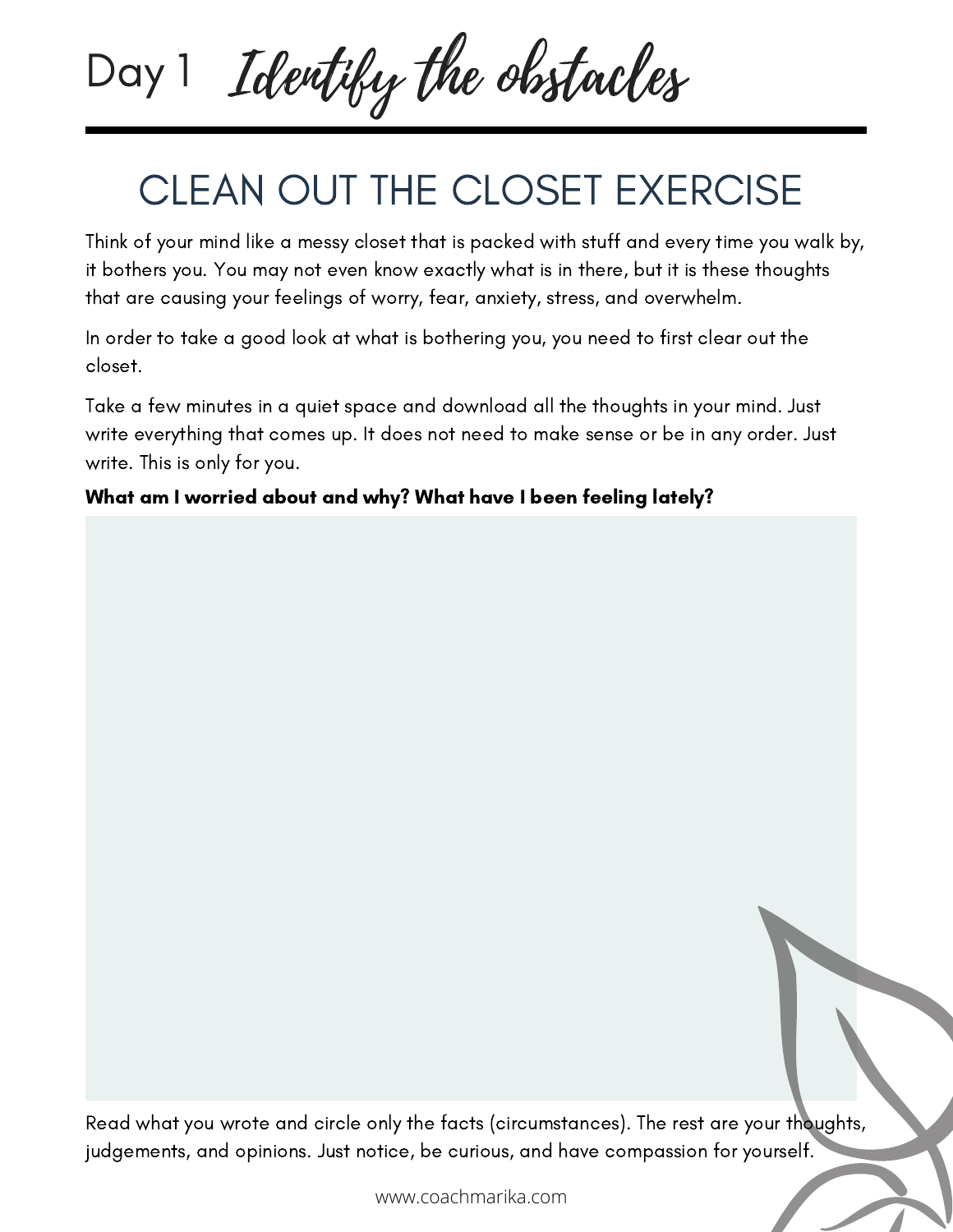# Day 1 Identify the obstacles

### CLEAN OUT THE CLOSET EXERCISE

Think of your mind like a messy closet that is packed with stuff and every time you walk by, it bothers you. You may not even know exactly what is in there, but it is these thoughts that are causing your feelings of worry, fear, anxiety, stress, and overwhelm.

In order to take a good look at what is bothering you, you need to first clear out the closet.

Take a few minutes in a quiet space and download all the thoughts in your mind. Just write everything that comes up. It does not need to make sense or be in any order. Just write. This is only for you.

What am I worried about and why? What have I been feeling lately?

Read what you wrote and circle only the facts (circumstances). The rest are your thoughts, judgements, and opinions. Just notice, be curious, and have compassion for yourself.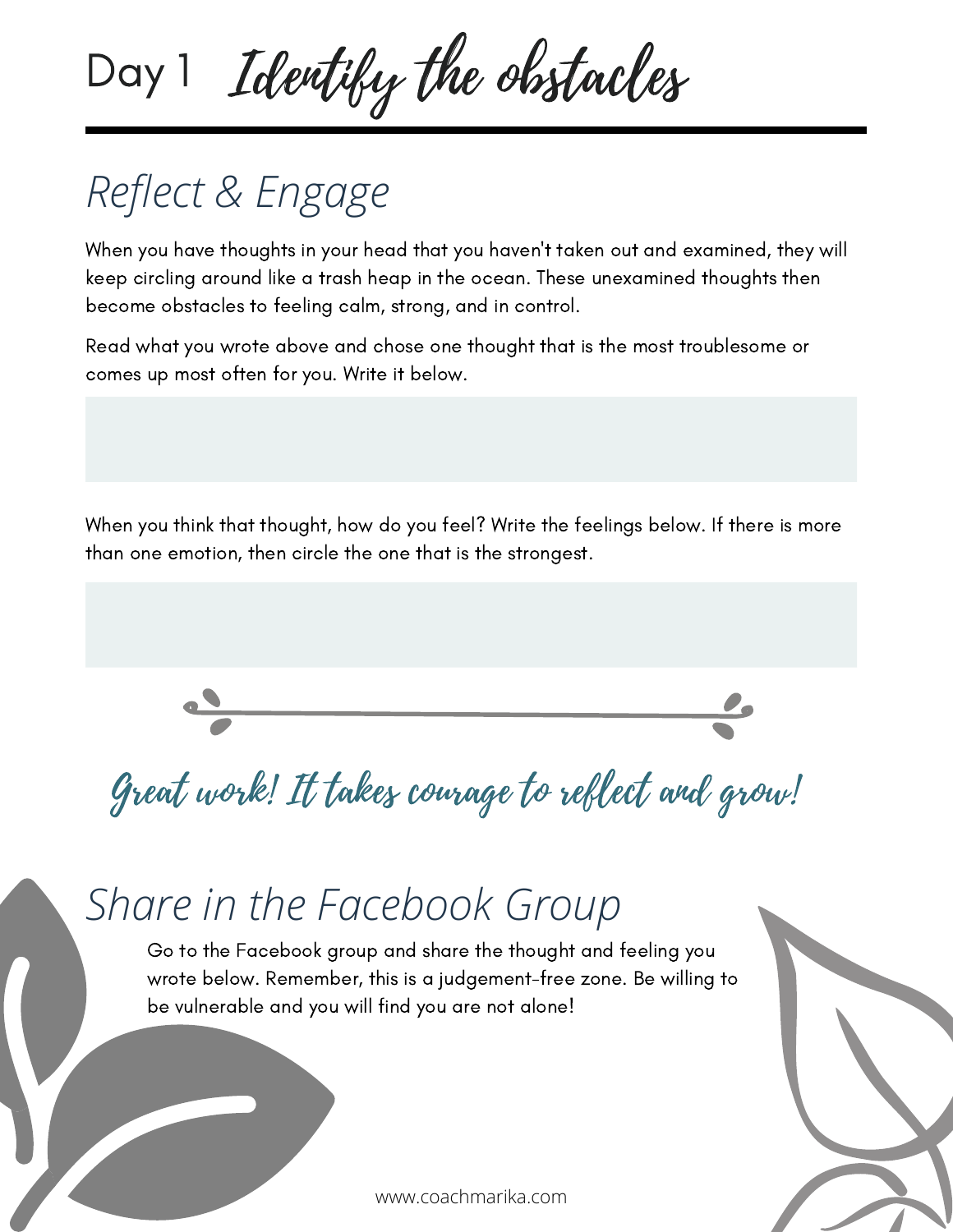# Day 1 Identify the obstacles

# *Reflect & Engage*

When you have thoughts in your head that you haven't taken out and examined, they will keep circling around like a trash heap in the ocean. These unexamined thoughts then become obstacles to feeling calm, strong, and in control.

Read what you wrote above and chose one thought that is the most troublesome or comes up most often for you. Write it below.

When you think that thought, how do you feel? Write the feelings below. If there is more than one emotion, then circle the one that is the strongest.



Great work! It takes courage to reflect and grow!

### *Share in the Facebook Group*

Go to the Facebook group and share the thought and feeling you wrote below. Remember, this is a judgement-free zone. Be willing to be vulnerable and you will find you are not alone!

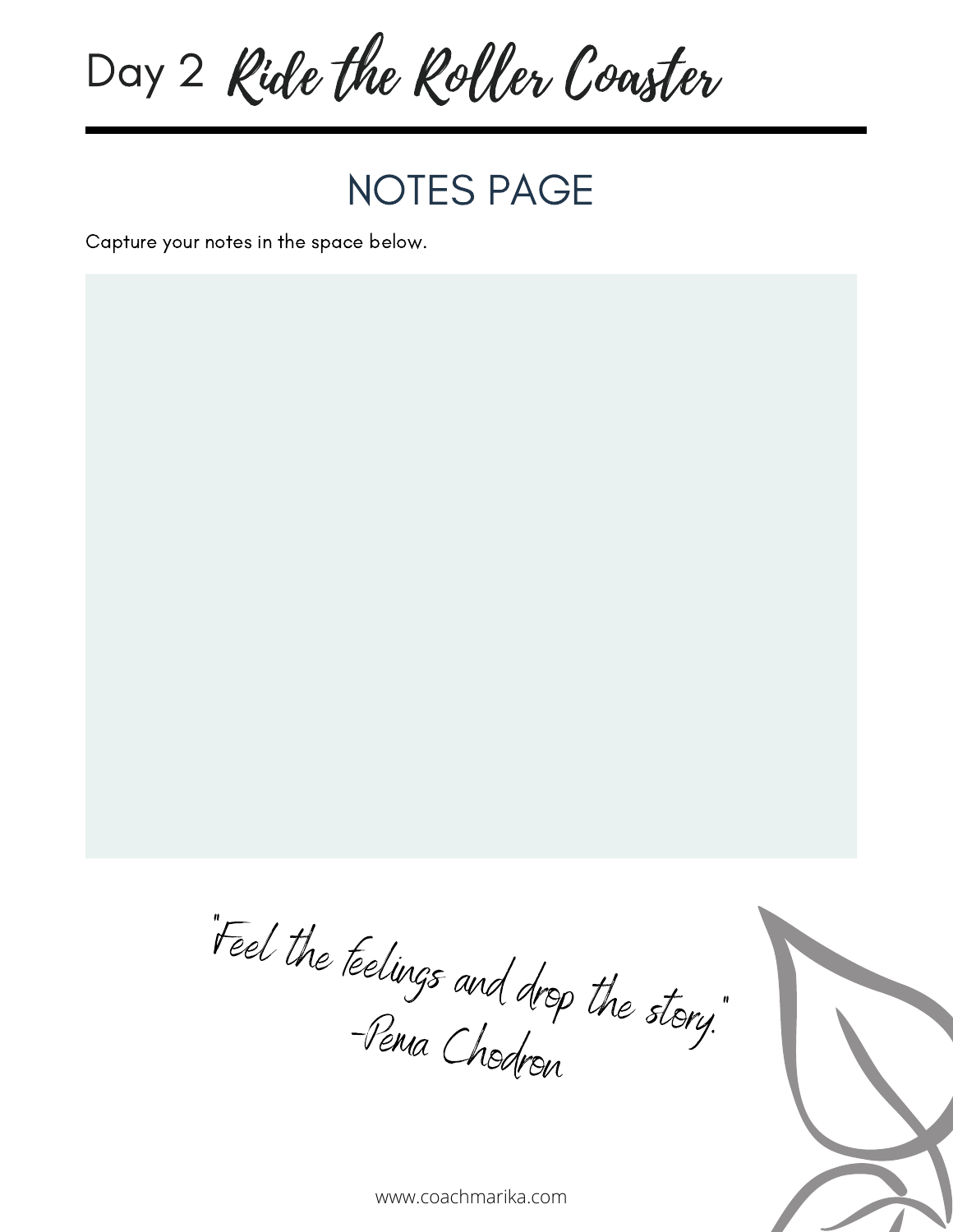

NOTES PAGE

Capture your notes in the space below.



"Feel the feelings and drop the story."<br>- Penia Chal -Pema Chodron

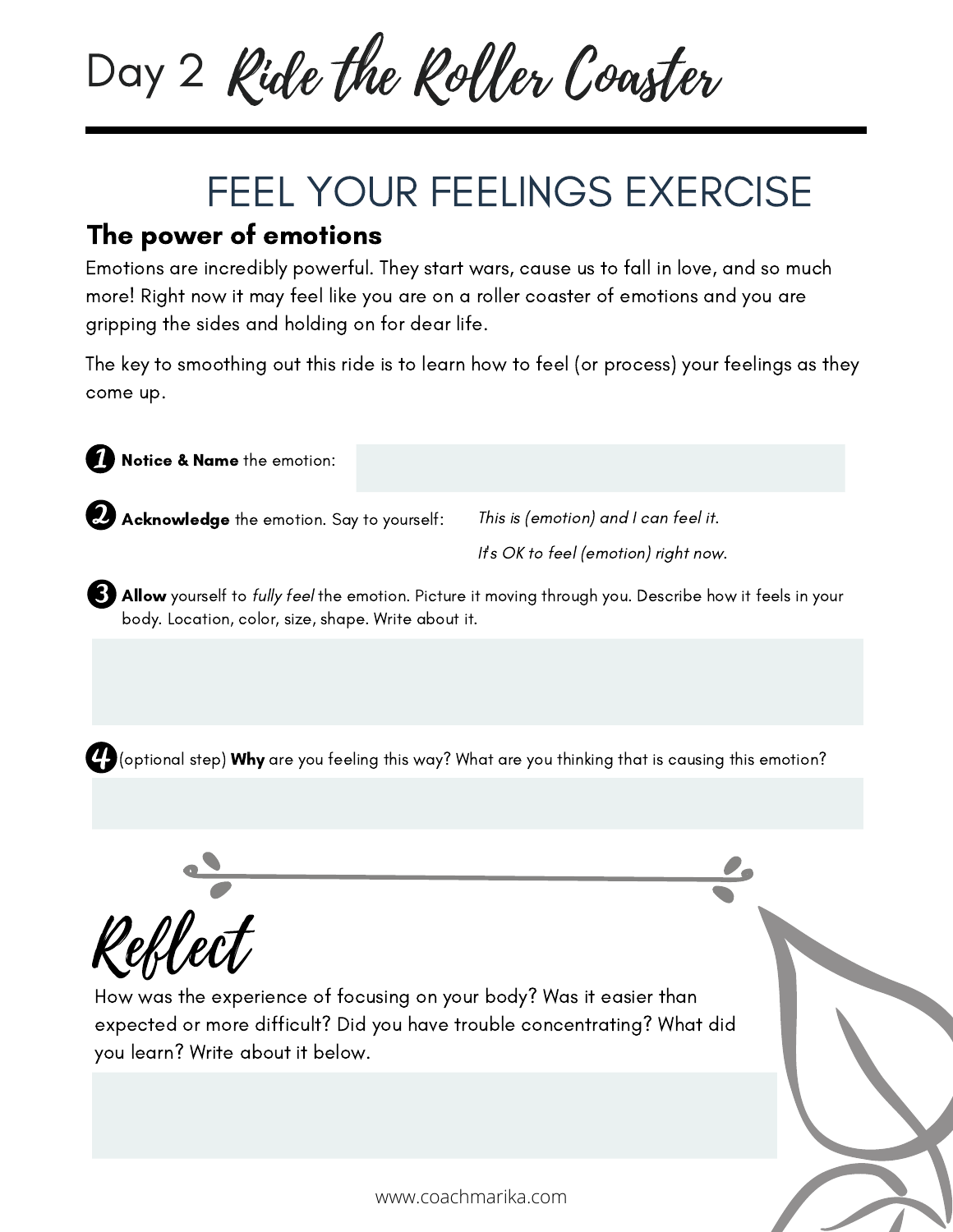

### FEEL YOUR FEELINGS EXERCISE

#### The power of emotions

Emotions are incredibly powerful. They start wars, cause us to fall in love, and so much more! Right now it may feel like you are on a roller coaster of emotions and you are gripping the sides and holding on for dear life.

The key to smoothing out this ride is to learn how to feel (or process) your feelings as they come up.



**B) Allow** yourself to *fully feel* the emotion. Picture it moving through you. Describe how it feels in your body. Location, color, size, shape. Write about it.

 $\bm{C}$  (optional step) Why are you feeling this way? What are you thinking that is causing this emotion?



How was the experience of focusing on your body? Was it easier than expected or more difficult? Did you have trouble concentrating? What did you learn? Write about it below.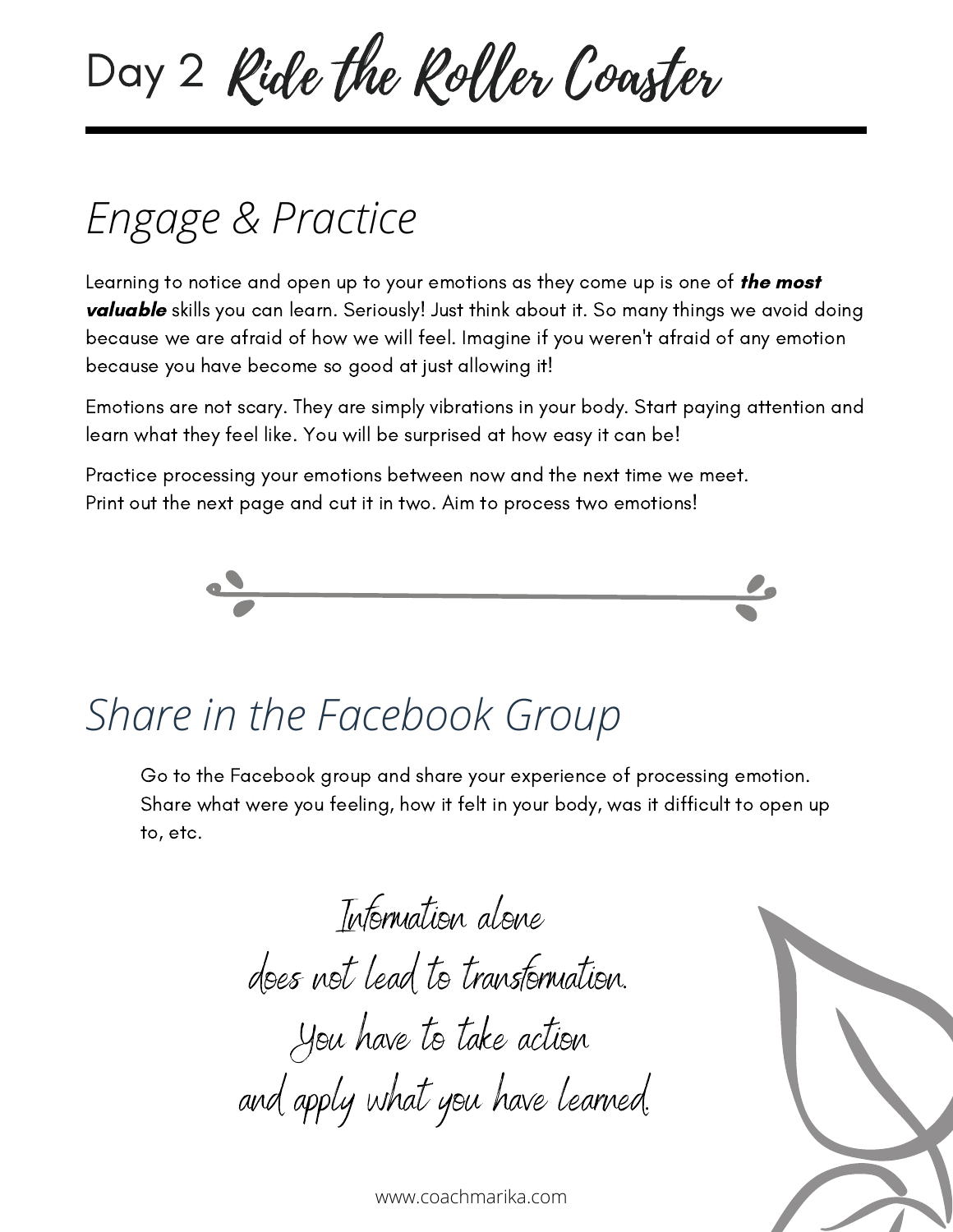Day 2 Ride the Roller Coaster

### *Engage & Practice*

Learning to notice and open up to your emotions as they come up is one of **the most** valuable skills you can learn. Seriously! Just think about it. So many things we avoid doing because we are afraid of how we will feel. Imagine if you weren't afraid of any emotion because you have become so good at just allowing it!

Emotions are not scary. They are simply vibrations in your body. Start paying attention and learn what they feel like. You will be surprised at how easy it can be!

Practice processing your emotions between now and the next time we meet. Print out the next page and cut it in two. Aim to process two emotions!



### *Share in the Facebook Group*

Go to the Facebook group and share your experience of processing emotion. Share what were you feeling, how it felt in your body, was it difficult to open up to, etc.

> Information alone does not lead to transformation. You have to take action and apply what you have learned.

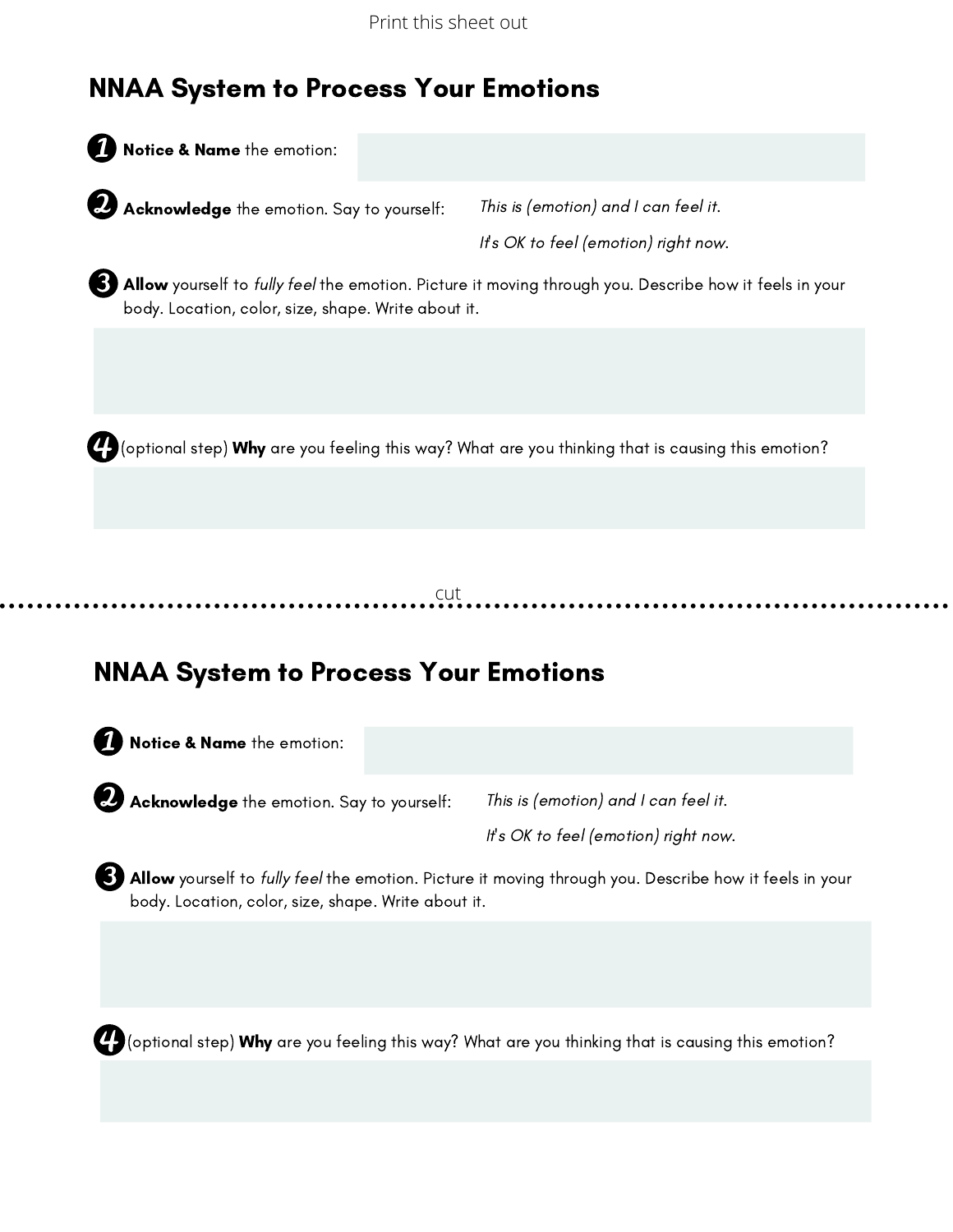Print this sheet out

#### NNAA System to Process Your Emotions

Notice & Name the emotion:

**Acknowledge** the emotion. Say to yourself:

This is (emotion) and I can feel it. It's OK to feel (emotion) right now.

**B) Allow** yourself to *fully feel* the emotion. Picture it moving through you. Describe how it feels in your body. Location, color, size, shape. Write about it.

 $\bm{C}$  (optional step) Why are you feeling this way? What are you thinking that is causing this emotion?

cut

#### NNAA System to Process Your Emotions

**A** Notice & Name the emotion:

**Acknowledge** the emotion. Say to yourself:

This is (emotion) and I can feel it.

It's OK to feel (emotion) right now.

Allow yourself to fully feel the emotion. Picture it moving through you. Describe how it feels in your body. Location, color, size, shape. Write about it.

(optional step) Why are you feeling this way? What are you thinking that is causing this emotion?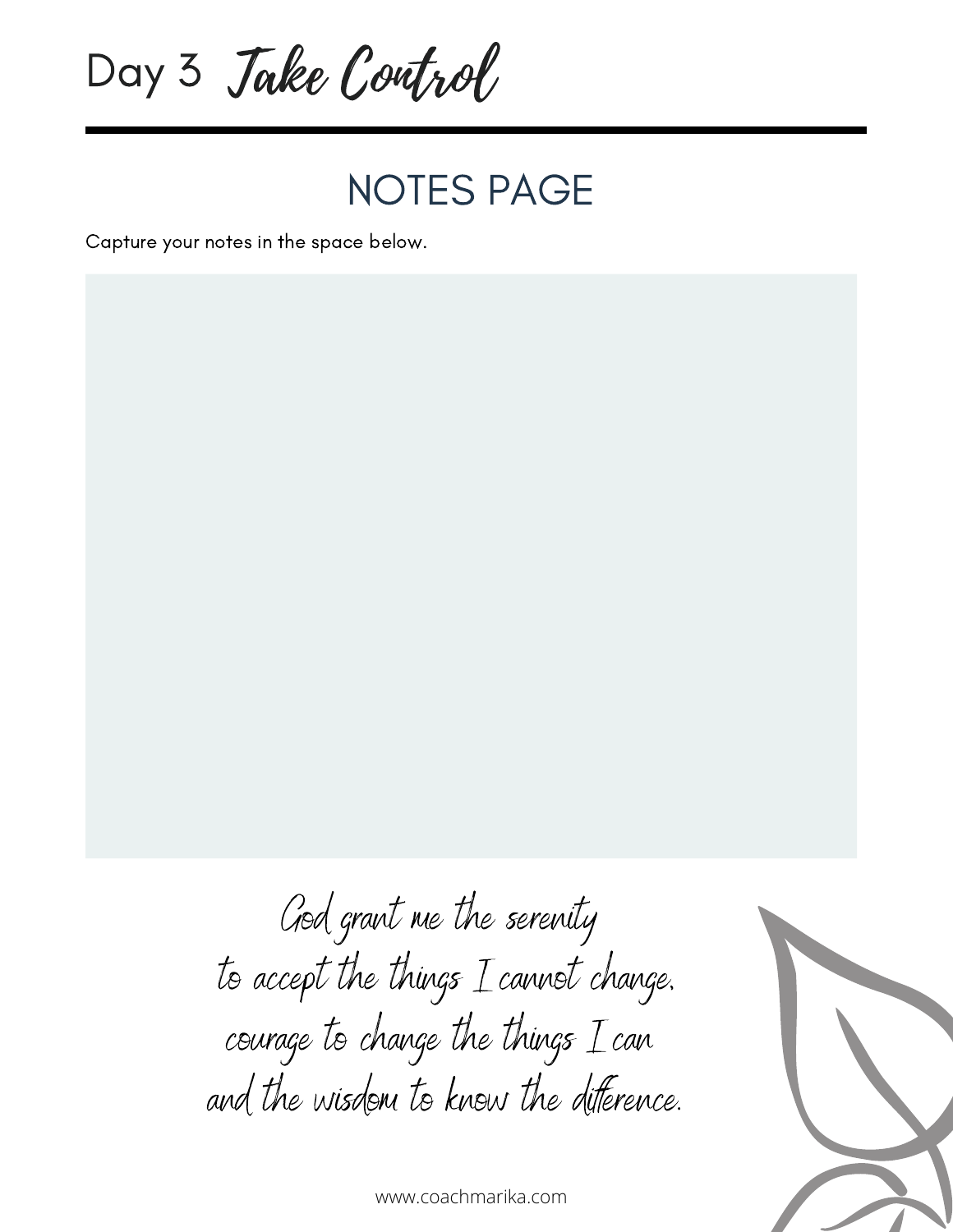Day 3 *Jake Control* 

#### NOTES PAGE

Capture your notes in the space below.



and the wisdom to know the diference.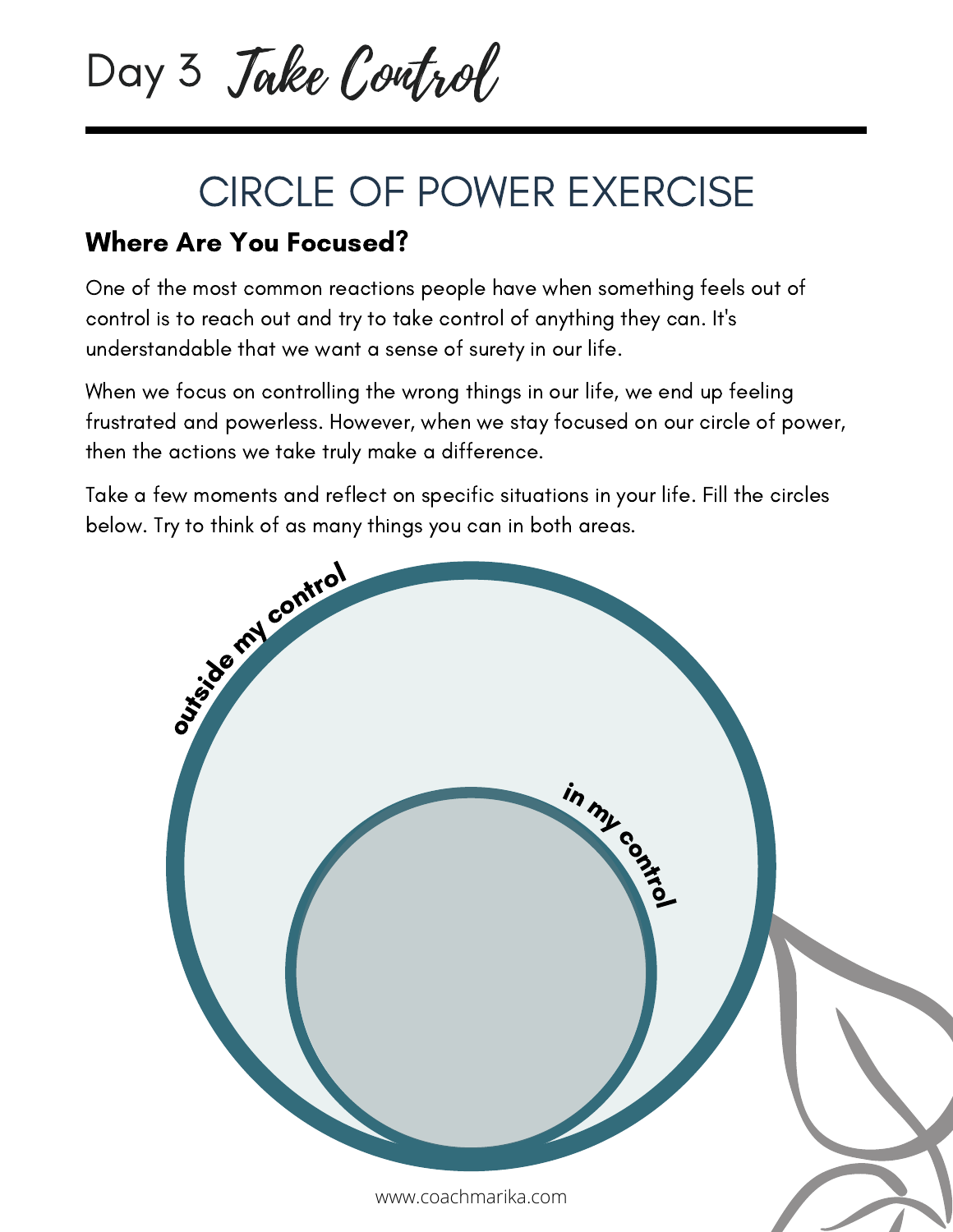Day 3 *Jake Control* 

### CIRCLE OF POWER EXERCISE

#### Where Are You Focused?

One of the most common reactions people have when something feels out of control is to reach out and try to take control of anything they can. It's understandable that we want a sense of surety in our life.

When we focus on controlling the wrong things in our life, we end up feeling frustrated and powerless. However, when we stay focused on our circle of power, then the actions we take truly make a difference.

Take a few moments and reflect on specific situations in your life. Fill the circles below. Try to think of as many things you can in both areas.

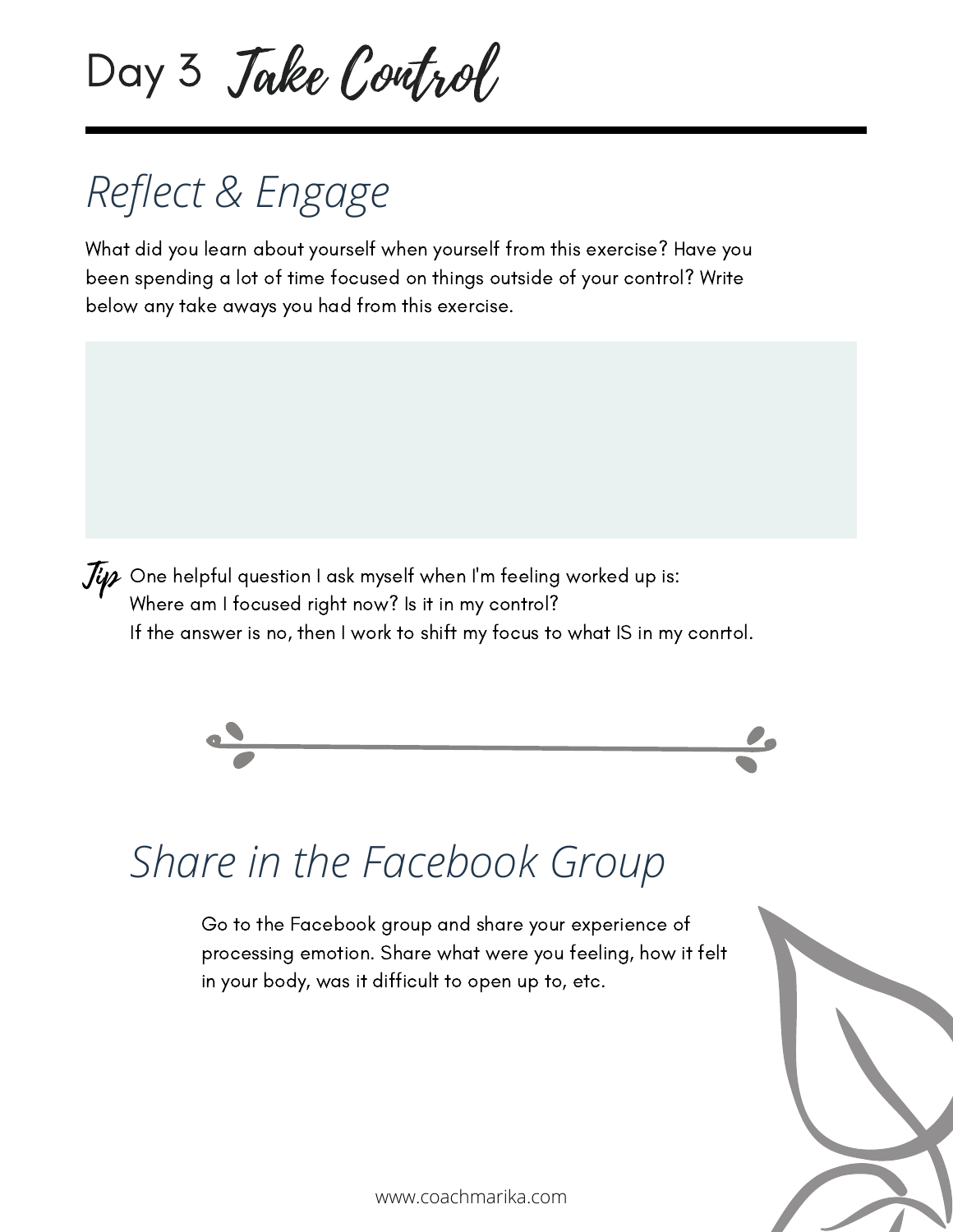Day 3 *Jake Control* 

## *Reflect & Engage*

What did you learn about yourself when yourself from this exercise? Have you been spending a lot of time focused on things outside of your control? Write below any take aways you had from this exercise.

 $J\!\!\mathscr{G}$  One helpful question I ask myself when I'm feeling worked up is: Where am I focused right now? Is it in my control? If the answer is no, then I work to shift my focus to what IS in my conrtol.



### *Share in the Facebook Group*

Go to the Facebook group and share your experience of processing emotion. Share what were you feeling, how it felt in your body, was it difficult to open up to, etc.